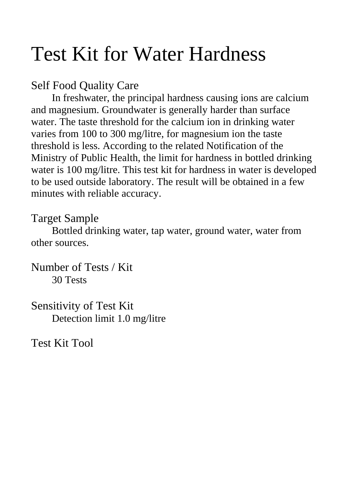# Test Kit for Water Hardness

# Self Food Quality Care

 In freshwater, the principal hardness causing ions are calcium and magnesium. Groundwater is generally harder than surface water. The taste threshold for the calcium ion in drinking water varies from 100 to 300 mg/litre, for magnesium ion the taste threshold is less. According to the related Notification of the Ministry of Public Health, the limit for hardness in bottled drinking water is 100 mg/litre. This test kit for hardness in water is developed to be used outside laboratory. The result will be obtained in a few minutes with reliable accuracy.

### Target Sample

Bottled drinking water, tap water, ground water, water from other sources.

Number of Tests / Kit 30 Tests

Sensitivity of Test Kit Detection limit 1.0 mg/litre

Test Kit Tool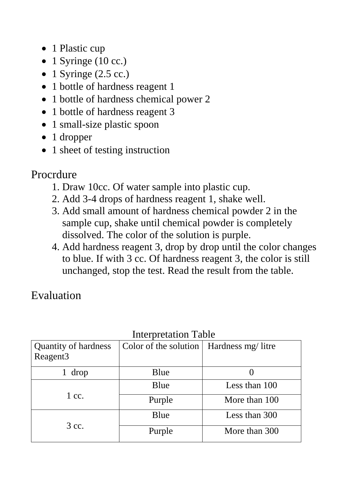- 1 Plastic cup
- 1 Syringe (10 cc.)
- 1 Syringe  $(2.5 \text{ cc.})$
- 1 bottle of hardness reagent 1
- 1 bottle of hardness chemical power 2
- 1 bottle of hardness reagent 3
- 1 small-size plastic spoon
- 1 dropper
- 1 sheet of testing instruction

# Procrdure

- 1. Draw 10cc. Of water sample into plastic cup.
- 2. Add 3-4 drops of hardness reagent 1, shake well.
- 3. Add small amount of hardness chemical powder 2 in the sample cup, shake until chemical powder is completely dissolved. The color of the solution is purple.
- 4. Add hardness reagent 3, drop by drop until the color changes to blue. If with 3 cc. Of hardness reagent 3, the color is still unchanged, stop the test. Read the result from the table.

Evaluation

| INCLUICIANUM TAUIC    |                   |
|-----------------------|-------------------|
| Color of the solution | Hardness mg/litre |
|                       |                   |
| Blue                  |                   |
| Blue                  | Less than 100     |
| Purple                | More than 100     |
| Blue                  | Less than 300     |
| Purple                | More than 300     |
|                       |                   |

#### Interpretation Table